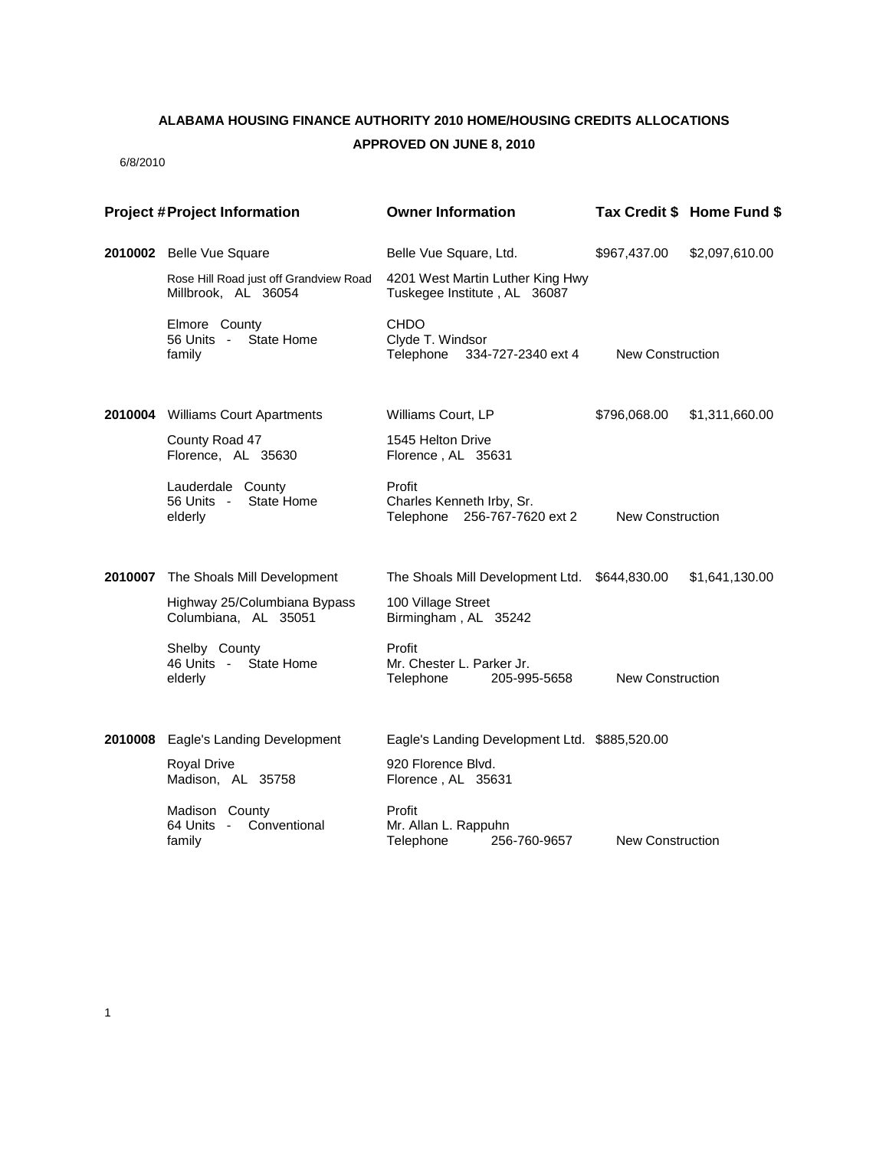## **ALABAMA HOUSING FINANCE AUTHORITY 2010 HOME/HOUSING CREDITS ALLOCATIONS APPROVED ON JUNE 8, 2010**

6/8/2010

| <b>Project #Project Information</b> |                                                               | <b>Owner Information</b>                                            |                         | Tax Credit \$ Home Fund \$ |
|-------------------------------------|---------------------------------------------------------------|---------------------------------------------------------------------|-------------------------|----------------------------|
|                                     | 2010002 Belle Vue Square                                      | Belle Vue Square, Ltd.                                              | \$967,437.00            | \$2,097,610.00             |
|                                     | Rose Hill Road just off Grandview Road<br>Millbrook, AL 36054 | 4201 West Martin Luther King Hwy<br>Tuskegee Institute, AL 36087    |                         |                            |
|                                     | Elmore County<br>56 Units - State Home<br>family              | CHDO<br>Clyde T. Windsor<br>Telephone<br>334-727-2340 ext 4         | New Construction        |                            |
|                                     | 2010004 Williams Court Apartments                             | Williams Court, LP                                                  | \$796,068.00            | \$1,311,660.00             |
|                                     | County Road 47<br>Florence, AL 35630                          | 1545 Helton Drive<br>Florence, AL 35631                             |                         |                            |
|                                     | Lauderdale County<br>State Home<br>56 Units -<br>elderly      | Profit<br>Charles Kenneth Irby, Sr.<br>Telephone 256-767-7620 ext 2 | <b>New Construction</b> |                            |
|                                     | 2010007 The Shoals Mill Development                           | The Shoals Mill Development Ltd. \$644,830.00                       |                         | \$1,641,130.00             |
|                                     | Highway 25/Columbiana Bypass<br>Columbiana, AL 35051          | 100 Village Street<br>Birmingham, AL 35242                          |                         |                            |
|                                     | Shelby County<br>46 Units - State Home<br>elderly             | Profit<br>Mr. Chester L. Parker Jr.<br>Telephone<br>205-995-5658    | <b>New Construction</b> |                            |
| 2010008                             | Eagle's Landing Development                                   | Eagle's Landing Development Ltd. \$885,520.00                       |                         |                            |
|                                     | <b>Royal Drive</b><br>Madison, AL 35758                       | 920 Florence Blvd.<br>Florence, AL 35631                            |                         |                            |
|                                     | Madison County<br>64 Units - Conventional<br>family           | Profit<br>Mr. Allan L. Rappuhn<br>256-760-9657<br>Telephone         | <b>New Construction</b> |                            |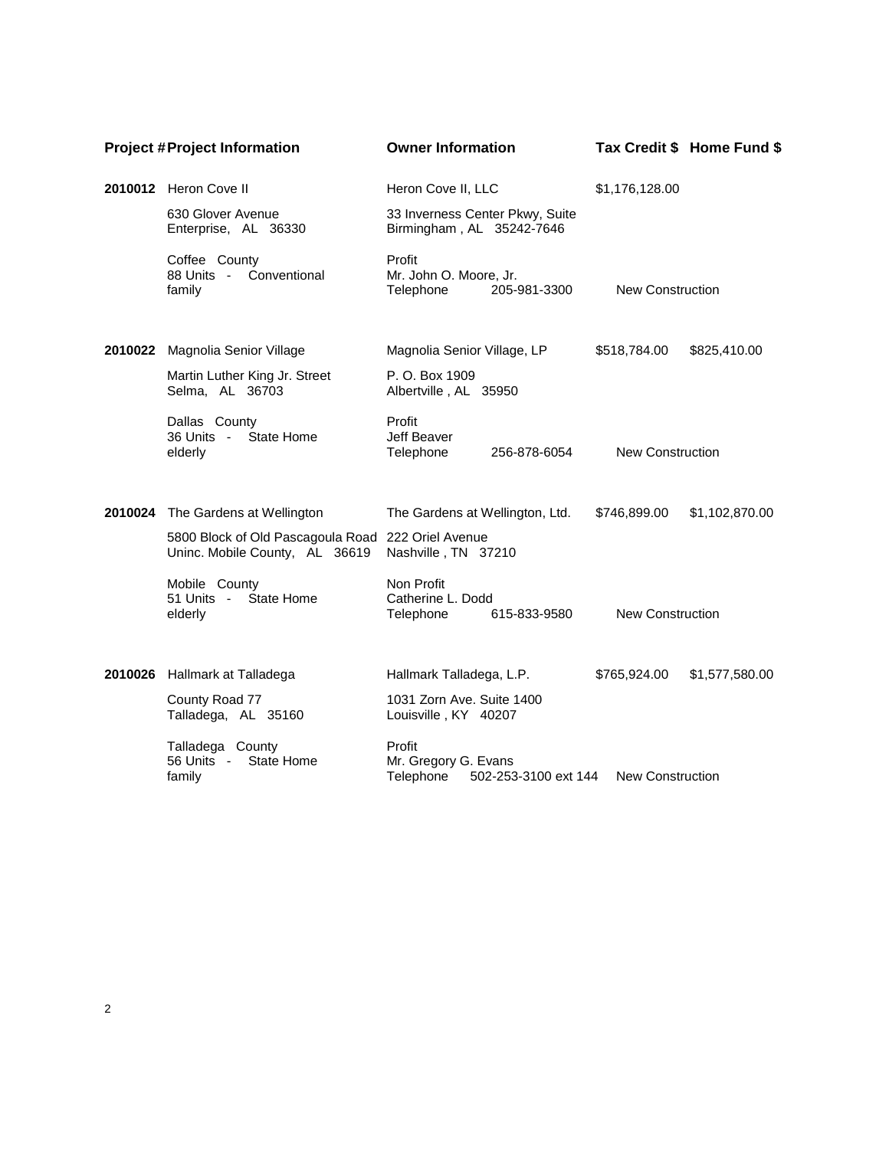| <b>Project #Project Information</b> |                                                                                      | <b>Owner Information</b>                                                             |                         | Tax Credit \$ Home Fund \$ |
|-------------------------------------|--------------------------------------------------------------------------------------|--------------------------------------------------------------------------------------|-------------------------|----------------------------|
|                                     | 2010012 Heron Cove II                                                                | Heron Cove II, LLC                                                                   | \$1,176,128.00          |                            |
|                                     | 630 Glover Avenue<br>Enterprise, AL 36330                                            | 33 Inverness Center Pkwy, Suite<br>Birmingham, AL 35242-7646                         |                         |                            |
|                                     | Coffee County<br>88 Units - Conventional<br>family                                   | Profit<br>Mr. John O. Moore, Jr.<br>205-981-3300<br>Telephone                        | <b>New Construction</b> |                            |
| 2010022                             | Magnolia Senior Village                                                              | Magnolia Senior Village, LP                                                          | \$518,784.00            | \$825,410.00               |
|                                     | Martin Luther King Jr. Street<br>Selma, AL 36703                                     | P. O. Box 1909<br>Albertville, AL 35950                                              |                         |                            |
|                                     | Dallas County<br>State Home<br>36 Units -<br>elderly                                 | Profit<br>Jeff Beaver<br>Telephone<br>256-878-6054                                   | <b>New Construction</b> |                            |
|                                     | 2010024 The Gardens at Wellington                                                    | The Gardens at Wellington, Ltd.                                                      | \$746,899.00            | \$1,102,870.00             |
|                                     | 5800 Block of Old Pascagoula Road 222 Oriel Avenue<br>Uninc. Mobile County, AL 36619 | Nashville, TN 37210                                                                  |                         |                            |
|                                     | Mobile County<br>State Home<br>51 Units -<br>elderly                                 | Non Profit<br>Catherine L. Dodd<br>615-833-9580<br>Telephone                         | <b>New Construction</b> |                            |
|                                     | 2010026 Hallmark at Talladega                                                        | Hallmark Talladega, L.P.                                                             | \$765,924.00            | \$1,577,580.00             |
|                                     | County Road 77<br>Talladega, AL 35160                                                | 1031 Zorn Ave. Suite 1400<br>Louisville, KY 40207                                    |                         |                            |
|                                     | Talladega County<br>56 Units -<br>State Home<br>family                               | Profit<br>Mr. Gregory G. Evans<br>Telephone<br>502-253-3100 ext 144 New Construction |                         |                            |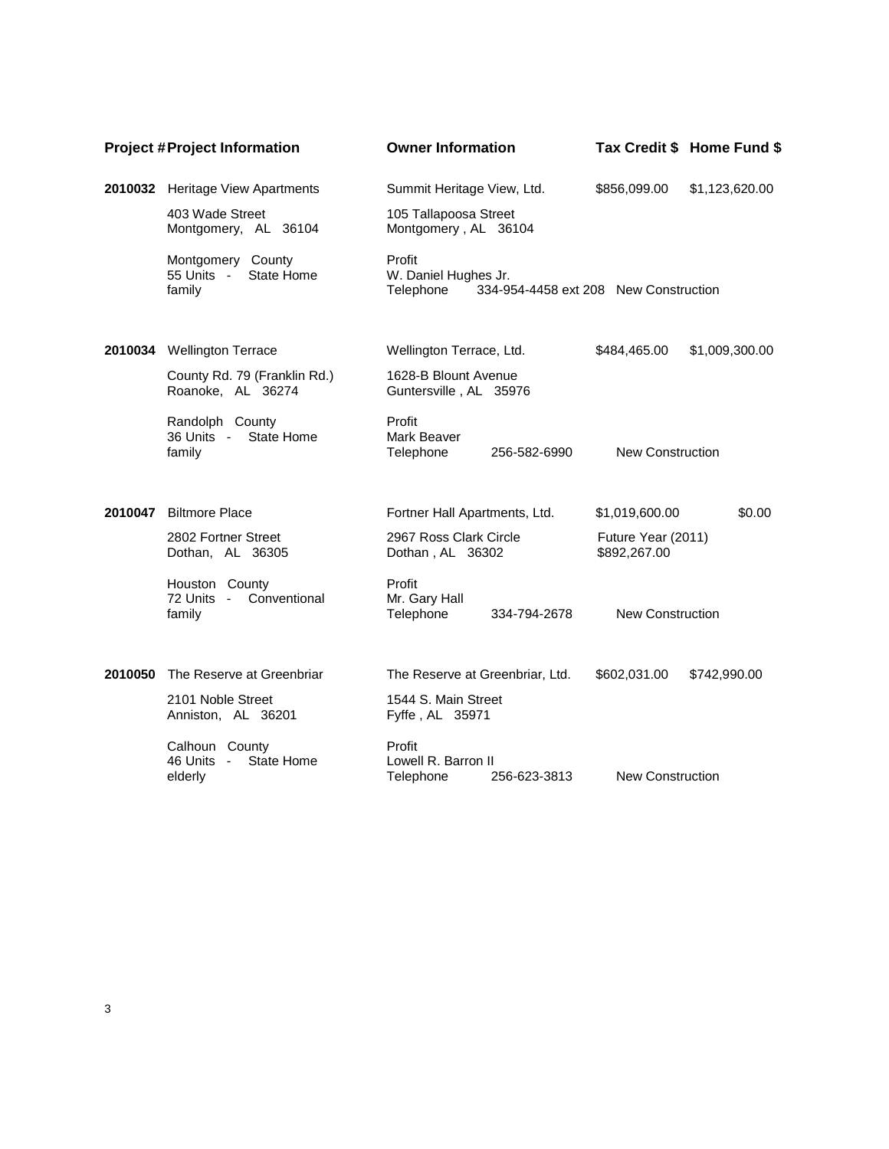| <b>Project #Project Information</b> |                                                         | <b>Owner Information</b>                                                             |                                    | Tax Credit \$ Home Fund \$ |
|-------------------------------------|---------------------------------------------------------|--------------------------------------------------------------------------------------|------------------------------------|----------------------------|
|                                     | 2010032 Heritage View Apartments                        | Summit Heritage View, Ltd.                                                           | \$856,099.00                       | \$1,123,620.00             |
|                                     | 403 Wade Street<br>Montgomery, AL 36104                 | 105 Tallapoosa Street<br>Montgomery, AL 36104                                        |                                    |                            |
|                                     | Montgomery County<br>55 Units -<br>State Home<br>family | Profit<br>W. Daniel Hughes Jr.<br>Telephone<br>334-954-4458 ext 208 New Construction |                                    |                            |
| 2010034                             | <b>Wellington Terrace</b>                               | Wellington Terrace, Ltd.                                                             | \$484,465.00                       | \$1,009,300.00             |
|                                     | County Rd. 79 (Franklin Rd.)<br>Roanoke, AL 36274       | 1628-B Blount Avenue<br>Guntersville, AL 35976                                       |                                    |                            |
|                                     | Randolph County<br>36 Units -<br>State Home<br>family   | Profit<br>Mark Beaver<br>Telephone<br>256-582-6990                                   | <b>New Construction</b>            |                            |
| 2010047                             | <b>Biltmore Place</b>                                   | Fortner Hall Apartments, Ltd.                                                        | \$1,019,600.00                     | \$0.00                     |
|                                     | 2802 Fortner Street<br>Dothan, AL 36305                 | 2967 Ross Clark Circle<br>Dothan, AL 36302                                           | Future Year (2011)<br>\$892,267.00 |                            |
|                                     | Houston County<br>72 Units - Conventional<br>family     | Profit<br>Mr. Gary Hall<br>Telephone<br>334-794-2678                                 | <b>New Construction</b>            |                            |
| 2010050                             | The Reserve at Greenbriar                               | The Reserve at Greenbriar, Ltd.                                                      | \$602,031.00                       | \$742,990.00               |
|                                     | 2101 Noble Street<br>Anniston, AL 36201                 | 1544 S. Main Street<br>Fyffe, AL 35971                                               |                                    |                            |
|                                     | Calhoun County<br>State Home<br>46 Units -<br>elderly   | Profit<br>Lowell R. Barron II<br>256-623-3813<br>Telephone                           | <b>New Construction</b>            |                            |